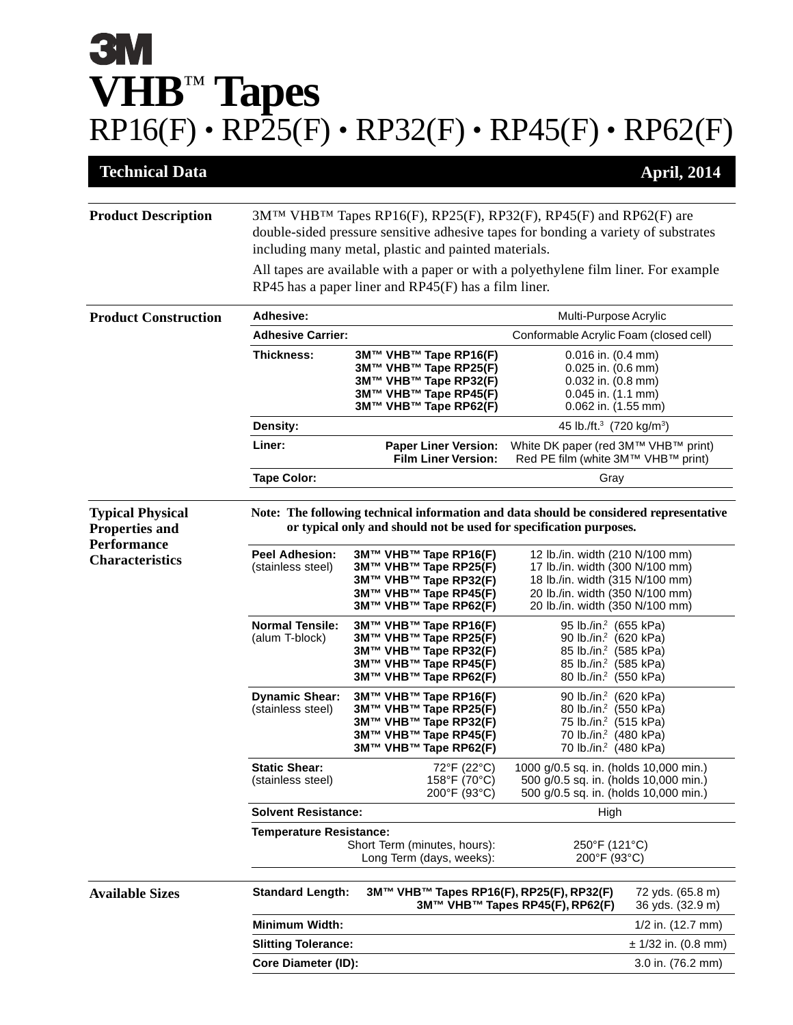## **3M VHB**™ **Tapes**  $RP16(F) \cdot RP\bar{2}5(F) \cdot RP32(F) \cdot RP45(F) \cdot RP62(F)$

| <b>Technical Data</b>                                                                            |                                                                                                                                                                                                                 |                                                                                                                           |                                                                                                                                                                                       | <b>April, 2014</b>                   |  |
|--------------------------------------------------------------------------------------------------|-----------------------------------------------------------------------------------------------------------------------------------------------------------------------------------------------------------------|---------------------------------------------------------------------------------------------------------------------------|---------------------------------------------------------------------------------------------------------------------------------------------------------------------------------------|--------------------------------------|--|
| <b>Product Description</b>                                                                       | 3M™ VHB™ Tapes RP16(F), RP25(F), RP32(F), RP45(F) and RP62(F) are<br>double-sided pressure sensitive adhesive tapes for bonding a variety of substrates<br>including many metal, plastic and painted materials. |                                                                                                                           |                                                                                                                                                                                       |                                      |  |
|                                                                                                  | All tapes are available with a paper or with a polyethylene film liner. For example<br>RP45 has a paper liner and $RP45(F)$ has a film liner.                                                                   |                                                                                                                           |                                                                                                                                                                                       |                                      |  |
| <b>Product Construction</b>                                                                      | <b>Adhesive:</b>                                                                                                                                                                                                |                                                                                                                           | Multi-Purpose Acrylic                                                                                                                                                                 |                                      |  |
|                                                                                                  | <b>Adhesive Carrier:</b>                                                                                                                                                                                        |                                                                                                                           | Conformable Acrylic Foam (closed cell)                                                                                                                                                |                                      |  |
|                                                                                                  | <b>Thickness:</b>                                                                                                                                                                                               | 3M™ VHB™ Tape RP16(F)<br>3M™ VHB™ Tape RP25(F)<br>3M™ VHB™ Tape RP32(F)<br>3M™ VHB™ Tape RP45(F)<br>3M™ VHB™ Tape RP62(F) | $0.016$ in. $(0.4$ mm)<br>$0.025$ in. $(0.6$ mm)<br>$0.032$ in. $(0.8$ mm)<br>$0.045$ in. $(1.1$ mm)<br>$0.062$ in. $(1.55$ mm)                                                       |                                      |  |
|                                                                                                  | Density:                                                                                                                                                                                                        |                                                                                                                           | 45 lb./ft. <sup>3</sup> (720 kg/m <sup>3</sup> )                                                                                                                                      |                                      |  |
|                                                                                                  | Liner:                                                                                                                                                                                                          | <b>Paper Liner Version:</b><br><b>Film Liner Version:</b>                                                                 | White DK paper (red 3M™ VHB™ print)<br>Red PE film (white 3M™ VHB™ print)                                                                                                             |                                      |  |
|                                                                                                  | <b>Tape Color:</b>                                                                                                                                                                                              |                                                                                                                           | Gray                                                                                                                                                                                  |                                      |  |
| <b>Typical Physical</b><br><b>Properties and</b><br><b>Performance</b><br><b>Characteristics</b> | Note: The following technical information and data should be considered representative<br>or typical only and should not be used for specification purposes.                                                    |                                                                                                                           |                                                                                                                                                                                       |                                      |  |
|                                                                                                  | <b>Peel Adhesion:</b><br>(stainless steel)                                                                                                                                                                      | 3M™ VHB™ Tape RP16(F)<br>3M™ VHB™ Tape RP25(F)<br>3M™ VHB™ Tape RP32(F)<br>3M™ VHB™ Tape RP45(F)<br>3M™ VHB™ Tape RP62(F) | 12 lb./in. width (210 N/100 mm)<br>17 lb./in. width (300 N/100 mm)<br>18 lb./in. width (315 N/100 mm)<br>20 lb./in. width (350 N/100 mm)<br>20 lb./in. width (350 N/100 mm)           |                                      |  |
|                                                                                                  | <b>Normal Tensile:</b><br>(alum T-block)                                                                                                                                                                        | 3M™ VHB™ Tape RP16(F)<br>3M™ VHB™ Tape RP25(F)<br>3M™ VHB™ Tape RP32(F)<br>3M™ VHB™ Tape RP45(F)<br>3M™ VHB™ Tape RP62(F) | 95 lb./in. <sup>2</sup> (655 kPa)<br>90 lb./in. <sup>2</sup> (620 kPa)<br>85 lb./in. <sup>2</sup> (585 kPa)<br>85 lb./in. <sup>2</sup> (585 kPa)<br>80 lb./in. <sup>2</sup> (550 kPa) |                                      |  |
|                                                                                                  | <b>Dynamic Shear:</b><br>(stainless steel)                                                                                                                                                                      | 3M™ VHB™ Tape RP16(F)<br>3M™ VHB™ Tape RP25(F)<br>3M™ VHB™ Tape RP32(F)<br>3M™ VHB™ Tape RP45(F)<br>3M™ VHB™ Tape RP62(F) | 90 lb./in. <sup>2</sup> (620 kPa)<br>80 lb./in. <sup>2</sup> (550 kPa)<br>75 lb./in. <sup>2</sup> (515 kPa)<br>70 lb./in. <sup>2</sup> (480 kPa)<br>70 lb./in. <sup>2</sup> (480 kPa) |                                      |  |
|                                                                                                  | <b>Static Shear:</b><br>(stainless steel)                                                                                                                                                                       | 72°F (22°C)<br>158°F (70°C)<br>200°F (93°C)                                                                               | 1000 g/0.5 sq. in. (holds 10,000 min.)<br>500 g/0.5 sq. in. (holds 10,000 min.)<br>500 g/0.5 sq. in. (holds 10,000 min.)                                                              |                                      |  |
|                                                                                                  | <b>Solvent Resistance:</b>                                                                                                                                                                                      |                                                                                                                           | High                                                                                                                                                                                  |                                      |  |
|                                                                                                  | <b>Temperature Resistance:</b><br>Short Term (minutes, hours):<br>Long Term (days, weeks):                                                                                                                      |                                                                                                                           | 250°F (121°C)<br>200°F (93°C)                                                                                                                                                         |                                      |  |
| <b>Available Sizes</b>                                                                           | <b>Standard Length:</b>                                                                                                                                                                                         | 3M™ VHB™ Tapes RP16(F), RP25(F), RP32(F)                                                                                  | 3M™ VHB™ Tapes RP45(F), RP62(F)                                                                                                                                                       | 72 yds. (65.8 m)<br>36 yds. (32.9 m) |  |
|                                                                                                  | Minimum Width:                                                                                                                                                                                                  |                                                                                                                           |                                                                                                                                                                                       | $1/2$ in. $(12.7$ mm)                |  |
|                                                                                                  | <b>Slitting Tolerance:</b>                                                                                                                                                                                      |                                                                                                                           |                                                                                                                                                                                       | $\pm$ 1/32 in. (0.8 mm)              |  |
|                                                                                                  | Core Diameter (ID):                                                                                                                                                                                             |                                                                                                                           |                                                                                                                                                                                       | 3.0 in. (76.2 mm)                    |  |